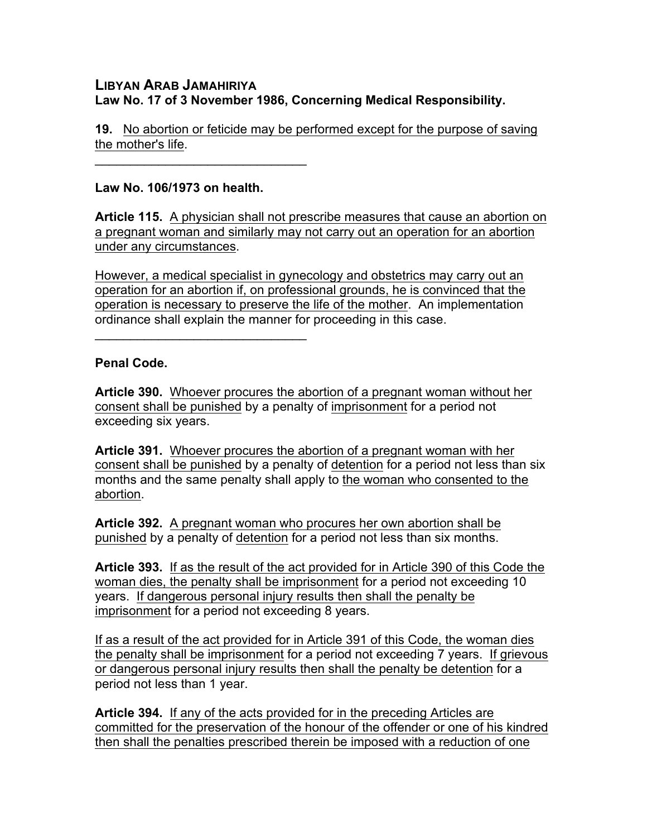## **LIBYAN ARAB JAMAHIRIYA Law No. 17 of 3 November 1986, Concerning Medical Responsibility.**

**19.** No abortion or feticide may be performed except for the purpose of saving the mother's life.

## **Law No. 106/1973 on health.**

 $\mathcal{L}_\text{max}$  and  $\mathcal{L}_\text{max}$  and  $\mathcal{L}_\text{max}$ 

 $\mathcal{L}=\{1,2,3,4,5\}$ 

**Article 115.** A physician shall not prescribe measures that cause an abortion on a pregnant woman and similarly may not carry out an operation for an abortion under any circumstances.

However, a medical specialist in gynecology and obstetrics may carry out an operation for an abortion if, on professional grounds, he is convinced that the operation is necessary to preserve the life of the mother. An implementation ordinance shall explain the manner for proceeding in this case.

## **Penal Code.**

**Article 390.** Whoever procures the abortion of a pregnant woman without her consent shall be punished by a penalty of imprisonment for a period not exceeding six years.

**Article 391.** Whoever procures the abortion of a pregnant woman with her consent shall be punished by a penalty of detention for a period not less than six months and the same penalty shall apply to the woman who consented to the abortion.

**Article 392.** A pregnant woman who procures her own abortion shall be punished by a penalty of detention for a period not less than six months.

**Article 393.** If as the result of the act provided for in Article 390 of this Code the woman dies, the penalty shall be imprisonment for a period not exceeding 10 years. If dangerous personal injury results then shall the penalty be imprisonment for a period not exceeding 8 years.

If as a result of the act provided for in Article 391 of this Code, the woman dies the penalty shall be imprisonment for a period not exceeding 7 years. If grievous or dangerous personal injury results then shall the penalty be detention for a period not less than 1 year.

**Article 394.** If any of the acts provided for in the preceding Articles are committed for the preservation of the honour of the offender or one of his kindred then shall the penalties prescribed therein be imposed with a reduction of one